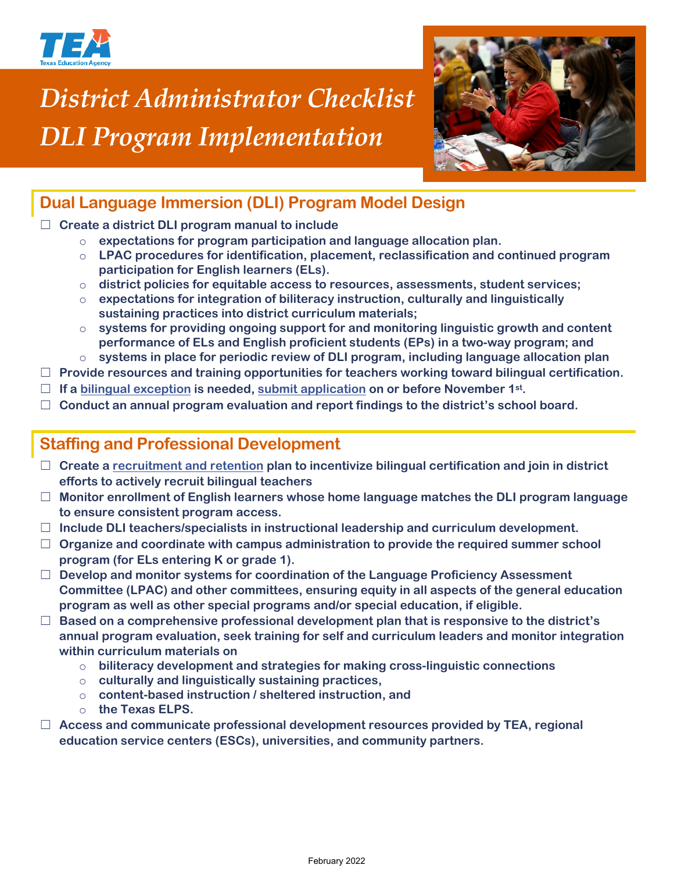

# *District Administrator Checklist DLI Program Implementation*



# **Dual Language Immersion (DLI) Program Model Design**

#### ☐ **Create a district DLI program manual to include**

- o **expectations for program participation and language allocation plan.**
- o **LPAC procedures for identification, placement, reclassification and continued program participation for English learners (ELs).**
- o **district policies for equitable access to resources, assessments, student services;**
- o **expectations for integration of biliteracy instruction, culturally and linguistically sustaining practices into district curriculum materials;**
- o **systems for providing ongoing support for and monitoring linguistic growth and content performance of ELs and English proficient students (EPs) in a two-way program; and**
- o **systems in place for periodic review of DLI program, including language allocation plan**
- ☐ **Provide resources and training opportunities for teachers working toward bilingual certification.**
- ☐ **If a [bilingual exception](https://tea.texas.gov/sites/default/files/Bilingual%20Education%20Exception%20Scenario%20Chain%202019-2020%20update.pdf) is needed, [submit application](https://tea.texas.gov/Academics/Special_Student_Populations/Bilingual_ESL_Education/Bilingual_Education_Exception_and_ESL_Waiver_Resources) on or before November 1st.**
- ☐ **Conduct an annual program evaluation and report findings to the district's school board.**

### **Staffing and Professional Development**

- ☐ **Create a [recruitment and retention](https://tea.texas.gov/sites/default/files/Building%20Bilingual%20and%20ESL%20Programs.pdf) plan to incentivize bilingual certification and join in district efforts to actively recruit bilingual teachers**
- ☐ **Monitor enrollment of English learners whose home language matches the DLI program language to ensure consistent program access.**
- ☐ **Include DLI teachers/specialists in instructional leadership and curriculum development.**
- ☐ **Organize and coordinate with campus administration to provide the required summer school program (for ELs entering K or grade 1).**
- ☐ **Develop and monitor systems for coordination of the Language Proficiency Assessment Committee (LPAC) and other committees, ensuring equity in all aspects of the general education program as well as other special programs and/or special education, if eligible.**
- ☐ **Based on a comprehensive professional development plan that is responsive to the district's annual program evaluation, seek training for self and curriculum leaders and monitor integration within curriculum materials on**
	- o **biliteracy development and strategies for making cross-linguistic connections**
	- o **culturally and linguistically sustaining practices,**
	- o **content-based instruction / sheltered instruction, and**
	- o **the Texas ELPS.**
- ☐ **Access and communicate professional development resources provided by TEA, regional education service centers (ESCs), universities, and community partners.**